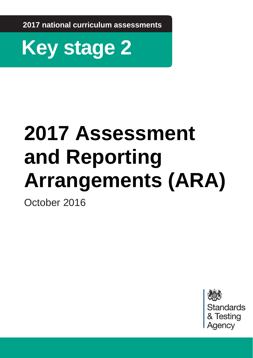**2017 national curriculum assessments**



# **2017 Assessment and Reporting Arrangements (ARA)**

October 2016

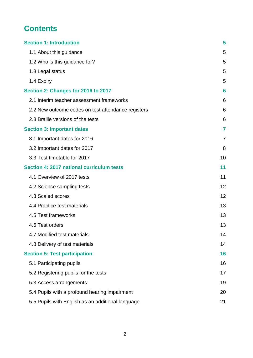# **Contents**

| <b>Section 1: Introduction</b>                     | 5  |
|----------------------------------------------------|----|
| 1.1 About this guidance                            | 5  |
| 1.2 Who is this guidance for?                      | 5  |
| 1.3 Legal status                                   | 5  |
| 1.4 Expiry                                         | 5  |
| Section 2: Changes for 2016 to 2017                | 6  |
| 2.1 Interim teacher assessment frameworks          | 6  |
| 2.2 New outcome codes on test attendance registers | 6  |
| 2.3 Braille versions of the tests                  | 6  |
| <b>Section 3: Important dates</b>                  | 7  |
| 3.1 Important dates for 2016                       | 7  |
| 3.2 Important dates for 2017                       | 8  |
| 3.3 Test timetable for 2017                        | 10 |
| Section 4: 2017 national curriculum tests          | 11 |
| 4.1 Overview of 2017 tests                         | 11 |
| 4.2 Science sampling tests                         | 12 |
| 4.3 Scaled scores                                  | 12 |
| 4.4 Practice test materials                        | 13 |
| 4.5 Test frameworks                                | 13 |
| 4.6 Test orders                                    | 13 |
| 4.7 Modified test materials                        | 14 |
| 4.8 Delivery of test materials                     | 14 |
| <b>Section 5: Test participation</b>               | 16 |
| 5.1 Participating pupils                           | 16 |
| 5.2 Registering pupils for the tests               | 17 |
| 5.3 Access arrangements                            | 19 |
| 5.4 Pupils with a profound hearing impairment      | 20 |
| 5.5 Pupils with English as an additional language  | 21 |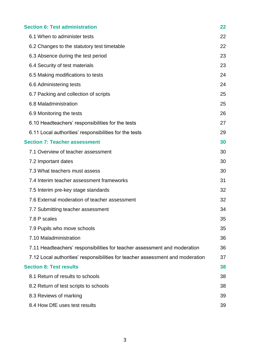| <b>Section 6: Test administration</b>                                          | 22 |
|--------------------------------------------------------------------------------|----|
| 6.1 When to administer tests                                                   | 22 |
| 6.2 Changes to the statutory test timetable                                    | 22 |
| 6.3 Absence during the test period                                             | 23 |
| 6.4 Security of test materials                                                 | 23 |
| 6.5 Making modifications to tests                                              | 24 |
| 6.6 Administering tests                                                        | 24 |
| 6.7 Packing and collection of scripts                                          | 25 |
| 6.8 Maladministration                                                          | 25 |
| 6.9 Monitoring the tests                                                       | 26 |
| 6.10 Headteachers' responsibilities for the tests                              | 27 |
| 6.11 Local authorities' responsibilities for the tests                         | 29 |
| <b>Section 7: Teacher assessment</b>                                           | 30 |
| 7.1 Overview of teacher assessment                                             | 30 |
| 7.2 Important dates                                                            | 30 |
| 7.3 What teachers must assess                                                  | 30 |
| 7.4 Interim teacher assessment frameworks                                      | 31 |
| 7.5 Interim pre-key stage standards                                            | 32 |
| 7.6 External moderation of teacher assessment                                  | 32 |
| 7.7 Submitting teacher assessment                                              | 34 |
| 7.8 P scales                                                                   | 35 |
| 7.9 Pupils who move schools                                                    | 35 |
| 7.10 Maladministration                                                         | 36 |
| 7.11 Headteachers' responsibilities for teacher assessment and moderation      | 36 |
| 7.12 Local authorities' responsibilities for teacher assessment and moderation | 37 |
| <b>Section 8: Test results</b>                                                 | 38 |
| 8.1 Return of results to schools                                               | 38 |
| 8.2 Return of test scripts to schools                                          | 38 |
| 8.3 Reviews of marking                                                         | 39 |
|                                                                                |    |

[8.4 How DfE uses test results](#page-38-1) 39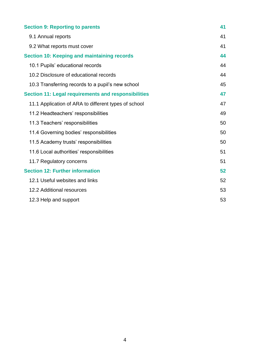| <b>Section 9: Reporting to parents</b>                     | 41 |
|------------------------------------------------------------|----|
| 9.1 Annual reports                                         | 41 |
| 9.2 What reports must cover                                | 41 |
| <b>Section 10: Keeping and maintaining records</b>         | 44 |
| 10.1 Pupils' educational records                           | 44 |
| 10.2 Disclosure of educational records                     | 44 |
| 10.3 Transferring records to a pupil's new school          | 45 |
| <b>Section 11: Legal requirements and responsibilities</b> | 47 |
| 11.1 Application of ARA to different types of school       | 47 |
| 11.2 Headteachers' responsibilities                        | 49 |
| 11.3 Teachers' responsibilities                            | 50 |
| 11.4 Governing bodies' responsibilities                    | 50 |
| 11.5 Academy trusts' responsibilities                      | 50 |
| 11.6 Local authorities' responsibilities                   | 51 |
| 11.7 Regulatory concerns                                   | 51 |
| <b>Section 12: Further information</b>                     | 52 |
| 12.1 Useful websites and links                             | 52 |
| 12.2 Additional resources                                  | 53 |
| 12.3 Help and support                                      | 53 |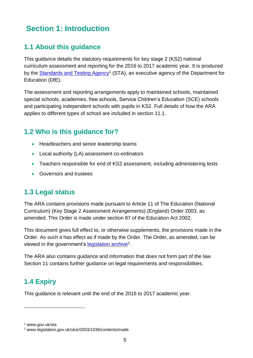# <span id="page-4-0"></span>**Section 1: Introduction**

## <span id="page-4-1"></span>**1.1 About this guidance**

This guidance details the statutory requirements for key stage 2 (KS2) national curriculum assessment and reporting for the 2016 to 2017 academic year. It is produced by the [Standards and Testing Agency](https://www.gov.uk/government/organisations/standards-and-testing-agency)<sup>1</sup> (STA), an executive agency of the Department for Education (DfE).

The assessment and reporting arrangements apply to maintained schools, maintained special schools, academies, free schools, Service Children's Education (SCE) schools and participating independent schools with pupils in KS2. Full details of how the ARA applies to different types of school are included in section 11.1.

## <span id="page-4-2"></span>**1.2 Who is this guidance for?**

- Headteachers and senior leadership teams
- Local authority (LA) assessment co-ordinators
- Teachers responsible for end of KS2 assessment, including administering tests
- **Governors and trustees**

## <span id="page-4-3"></span>**1.3 Legal status**

The ARA contains provisions made pursuant to Article 11 of The Education (National Curriculum) (Key Stage 2 Assessment Arrangements) (England) Order 2003, as amended. This Order is made under section 87 of the Education Act 2002.

This document gives full effect to, or otherwise supplements, the provisions made in the Order. As such it has effect as if made by the Order. The Order, as amended, can be viewed in the government's [legislation archive](http://www.legislation.gov.uk/uksi/2003/1038/contents/made)<sup>2</sup>.

The ARA also contains guidance and information that does not form part of the law. Section 11 contains further guidance on legal requirements and responsibilities.

## <span id="page-4-4"></span>**1.4 Expiry**

This guidance is relevant until the end of the 2016 to 2017 academic year.

<u>.</u>

<sup>1</sup> www.gov.uk/sta

<sup>2</sup> www.legislation.gov.uk/uksi/2003/1038/contents/made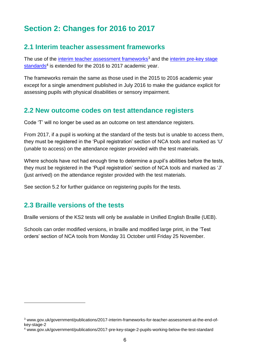# <span id="page-5-0"></span>**Section 2: Changes for 2016 to 2017**

## <span id="page-5-1"></span>**2.1 Interim teacher assessment frameworks**

The use of the [interim teacher assessment frameworks](https://www.gov.uk/government/publications/2017-interim-frameworks-for-teacher-assessment-at-the-end-of-key-stage-2)<sup>3</sup> and the interim pre-key stage [standards](https://www.gov.uk/government/publications/2017-pre-key-stage-2-pupils-working-below-the-test-standard)<sup>4</sup> is extended for the 2016 to 2017 academic year.

The frameworks remain the same as those used in the 2015 to 2016 academic year except for a single amendment published in July 2016 to make the guidance explicit for assessing pupils with physical disabilities or sensory impairment.

## <span id="page-5-2"></span>**2.2 New outcome codes on test attendance registers**

Code 'T' will no longer be used as an outcome on test attendance registers.

From 2017, if a pupil is working at the standard of the tests but is unable to access them, they must be registered in the 'Pupil registration' section of NCA tools and marked as 'U' (unable to access) on the attendance register provided with the test materials.

Where schools have not had enough time to determine a pupil's abilities before the tests, they must be registered in the 'Pupil registration' section of NCA tools and marked as 'J' (just arrived) on the attendance register provided with the test materials.

See section 5.2 for further guidance on registering pupils for the tests.

## <span id="page-5-3"></span>**2.3 Braille versions of the tests**

1

Braille versions of the KS2 tests will only be available in Unified English Braille (UEB).

Schools can order modified versions, in braille and modified large print, in the 'Test orders' section of NCA tools from Monday 31 October until Friday 25 November.

<sup>3</sup> www.gov.uk/government/publications/2017-interim-frameworks-for-teacher-assessment-at-the-end-ofkey-stage-2

<sup>4</sup> www.gov.uk/government/publications/2017-pre-key-stage-2-pupils-working-below-the-test-standard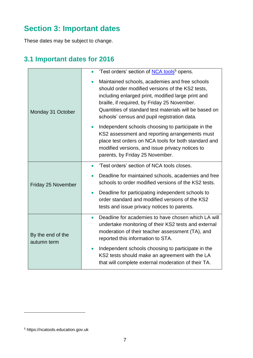# <span id="page-6-0"></span>**Section 3: Important dates**

These dates may be subject to change.

## <span id="page-6-1"></span>**3.1 Important dates for 2016**

|                                  | 'Test orders' section of NCA tools <sup>5</sup> opens.                                                                                                                                                                                                                                                             |
|----------------------------------|--------------------------------------------------------------------------------------------------------------------------------------------------------------------------------------------------------------------------------------------------------------------------------------------------------------------|
| Monday 31 October                | Maintained schools, academies and free schools<br>should order modified versions of the KS2 tests,<br>including enlarged print, modified large print and<br>braille, if required, by Friday 25 November.<br>Quantities of standard test materials will be based on<br>schools' census and pupil registration data. |
|                                  | Independent schools choosing to participate in the<br>KS2 assessment and reporting arrangements must<br>place test orders on NCA tools for both standard and<br>modified versions, and issue privacy notices to<br>parents, by Friday 25 November.                                                                 |
| Friday 25 November               | 'Test orders' section of NCA tools closes.<br>$\bullet$                                                                                                                                                                                                                                                            |
|                                  | Deadline for maintained schools, academies and free<br>schools to order modified versions of the KS2 tests.                                                                                                                                                                                                        |
|                                  | Deadline for participating independent schools to<br>$\bullet$<br>order standard and modified versions of the KS2<br>tests and issue privacy notices to parents.                                                                                                                                                   |
| By the end of the<br>autumn term | Deadline for academies to have chosen which LA will<br>$\bullet$<br>undertake monitoring of their KS2 tests and external<br>moderation of their teacher assessment (TA), and<br>reported this information to STA.                                                                                                  |
|                                  | Independent schools choosing to participate in the<br>KS2 tests should make an agreement with the LA<br>that will complete external moderation of their TA.                                                                                                                                                        |

<sup>5</sup> https://ncatools.education.gov.uk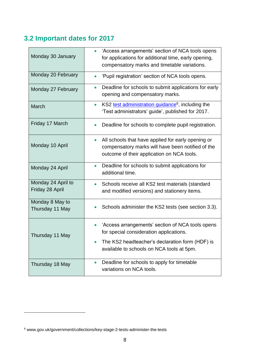# <span id="page-7-0"></span>**3.2 Important dates for 2017**

| Monday 30 January                     | 'Access arrangements' section of NCA tools opens<br>for applications for additional time, early opening,<br>compensatory marks and timetable variations.           |
|---------------------------------------|--------------------------------------------------------------------------------------------------------------------------------------------------------------------|
| Monday 20 February                    | 'Pupil registration' section of NCA tools opens.                                                                                                                   |
| Monday 27 February                    | Deadline for schools to submit applications for early<br>$\bullet$<br>opening and compensatory marks.                                                              |
| March                                 | KS2 test administration guidance <sup>6</sup> , including the<br>$\bullet$<br>'Test administrators' guide', published for 2017.                                    |
| Friday 17 March                       | Deadline for schools to complete pupil registration.<br>$\bullet$                                                                                                  |
| Monday 10 April                       | All schools that have applied for early opening or<br>$\bullet$<br>compensatory marks will have been notified of the<br>outcome of their application on NCA tools. |
| Monday 24 April                       | Deadline for schools to submit applications for<br>$\bullet$<br>additional time.                                                                                   |
| Monday 24 April to<br>Friday 28 April | Schools receive all KS2 test materials (standard<br>and modified versions) and stationery items.                                                                   |
| Monday 8 May to<br>Thursday 11 May    | Schools administer the KS2 tests (see section 3.3).                                                                                                                |
| Thursday 11 May                       | 'Access arrangements' section of NCA tools opens<br>for special consideration applications.                                                                        |
|                                       | The KS2 headteacher's declaration form (HDF) is<br>available to schools on NCA tools at 5pm.                                                                       |
| Thursday 18 May                       | Deadline for schools to apply for timetable<br>variations on NCA tools.                                                                                            |

<sup>6</sup> www.gov.uk/government/collections/key-stage-2-tests-administer-the-tests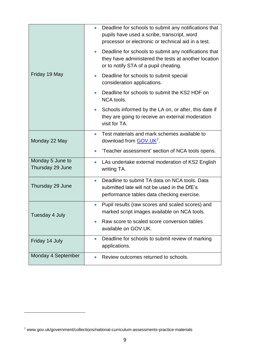| Friday 19 May                        | Deadline for schools to submit any notifications that<br>$\bullet$<br>pupils have used a scribe, transcript, word<br>processor or electronic or technical aid in a test. |
|--------------------------------------|--------------------------------------------------------------------------------------------------------------------------------------------------------------------------|
|                                      | Deadline for schools to submit any notifications that<br>$\bullet$<br>they have administered the tests at another location<br>or to notify STA of a pupil cheating.      |
|                                      | Deadline for schools to submit special<br>$\bullet$<br>consideration applications.                                                                                       |
|                                      | Deadline for schools to submit the KS2 HDF on<br>$\bullet$<br>NCA tools.                                                                                                 |
|                                      | Schools informed by the LA on, or after, this date if<br>$\bullet$<br>they are going to receive an external moderation<br>visit for TA.                                  |
| Monday 22 May                        | Test materials and mark schemes available to<br>$\bullet$<br>download from <b>GOV.UK<sup>7</sup></b> .                                                                   |
|                                      | 'Teacher assessment' section of NCA tools opens.                                                                                                                         |
| Monday 5 June to<br>Thursday 29 June | LAs undertake external moderation of KS2 English<br>$\bullet$<br>writing TA.                                                                                             |
| Thursday 29 June                     | Deadline to submit TA data on NCA tools. Data<br>$\bullet$<br>submitted late will not be used in the DfE's<br>performance tables data checking exercise.                 |
| Tuesday 4 July                       | Pupil results (raw scores and scaled scores) and<br>$\bullet$<br>marked script images available on NCA tools.                                                            |
|                                      | Raw score to scaled score conversion tables<br>available on GOV.UK.                                                                                                      |
| Friday 14 July                       | Deadline for schools to submit review of marking<br>$\bullet$<br>applications.                                                                                           |
| Monday 4 September                   | Review outcomes returned to schools.                                                                                                                                     |

<sup>7</sup> www.gov.uk/government/collections/national-curriculum-assessments-practice-materials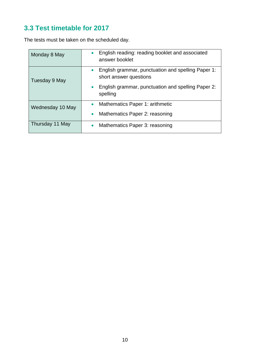## <span id="page-9-0"></span>**3.3 Test timetable for 2017**

The tests must be taken on the scheduled day.

| Monday 8 May     | English reading: reading booklet and associated<br>$\bullet$<br>answer booklet            |
|------------------|-------------------------------------------------------------------------------------------|
| Tuesday 9 May    | English grammar, punctuation and spelling Paper 1:<br>$\bullet$<br>short answer questions |
|                  | English grammar, punctuation and spelling Paper 2:<br>spelling                            |
| Wednesday 10 May | Mathematics Paper 1: arithmetic<br>Mathematics Paper 2: reasoning<br>$\bullet$            |
| Thursday 11 May  | Mathematics Paper 3: reasoning                                                            |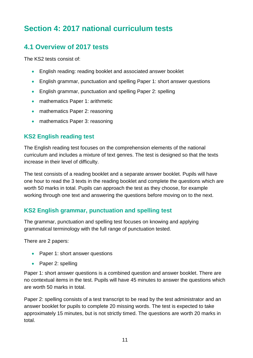# <span id="page-10-0"></span>**Section 4: 2017 national curriculum tests**

## <span id="page-10-1"></span>**4.1 Overview of 2017 tests**

The KS2 tests consist of:

- English reading: reading booklet and associated answer booklet
- English grammar, punctuation and spelling Paper 1: short answer questions
- English grammar, punctuation and spelling Paper 2: spelling
- mathematics Paper 1: arithmetic
- mathematics Paper 2: reasoning
- mathematics Paper 3: reasoning

#### **KS2 English reading test**

The English reading test focuses on the comprehension elements of the national curriculum and includes a mixture of text genres. The test is designed so that the texts increase in their level of difficulty.

The test consists of a reading booklet and a separate answer booklet. Pupils will have one hour to read the 3 texts in the reading booklet and complete the questions which are worth 50 marks in total. Pupils can approach the test as they choose, for example working through one text and answering the questions before moving on to the next.

#### **KS2 English grammar, punctuation and spelling test**

The grammar, punctuation and spelling test focuses on knowing and applying grammatical terminology with the full range of punctuation tested.

There are 2 papers:

- Paper 1: short answer questions
- Paper 2: spelling

Paper 1: short answer questions is a combined question and answer booklet. There are no contextual items in the test. Pupils will have 45 minutes to answer the questions which are worth 50 marks in total.

Paper 2: spelling consists of a test transcript to be read by the test administrator and an answer booklet for pupils to complete 20 missing words. The test is expected to take approximately 15 minutes, but is not strictly timed. The questions are worth 20 marks in total.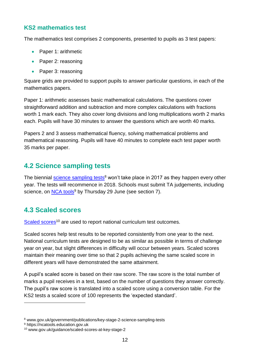#### **KS2 mathematics test**

The mathematics test comprises 2 components, presented to pupils as 3 test papers:

- Paper 1: arithmetic
- Paper 2: reasoning
- Paper 3: reasoning

Square grids are provided to support pupils to answer particular questions, in each of the mathematics papers.

Paper 1: arithmetic assesses basic mathematical calculations. The questions cover straightforward addition and subtraction and more complex calculations with fractions worth 1 mark each. They also cover long divisions and long multiplications worth 2 marks each. Pupils will have 30 minutes to answer the questions which are worth 40 marks.

Papers 2 and 3 assess mathematical fluency, solving mathematical problems and mathematical reasoning. Pupils will have 40 minutes to complete each test paper worth 35 marks per paper.

## <span id="page-11-0"></span>**4.2 Science sampling tests**

The biennial [science sampling tests](https://www.gov.uk/government/publications/key-stage-2-science-sampling-tests)<sup>8</sup> won't take place in 2017 as they happen every other year. The tests will recommence in 2018. Schools must submit TA judgements, including science, on [NCA tools](https://ncatools.education.gov.uk/)<sup>9</sup> by Thursday 29 June (see section 7).

## <span id="page-11-1"></span>**4.3 Scaled scores**

[Scaled scores](https://www.gov.uk/guidance/scaled-scores-at-key-stage-2)<sup>10</sup> are used to report national curriculum test outcomes.

Scaled scores help test results to be reported consistently from one year to the next. National curriculum tests are designed to be as similar as possible in terms of challenge year on year, but slight differences in difficulty will occur between years. Scaled scores maintain their meaning over time so that 2 pupils achieving the same scaled score in different years will have demonstrated the same attainment.

A pupil's scaled score is based on their raw score. The raw score is the total number of marks a pupil receives in a test, based on the number of questions they answer correctly. The pupil's raw score is translated into a scaled score using a conversion table. For the KS2 tests a scaled score of 100 represents the 'expected standard'.

<sup>8</sup> www.gov.uk/government/publications/key-stage-2-science-sampling-tests

<sup>9</sup> https://ncatools.education.gov.uk

<sup>10</sup> www.gov.uk/guidance/scaled-scores-at-key-stage-2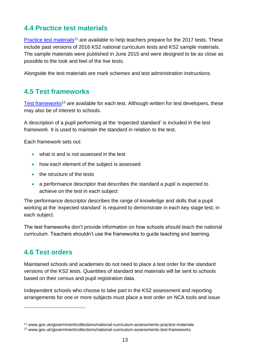## <span id="page-12-0"></span>**4.4 Practice test materials**

[Practice test materials](http://www.gov.uk/government/collections/national-curriculum-assessments-practice-materials)<sup>11</sup> are available to help teachers prepare for the 2017 tests. [The](https://www.gov.uk/government/collections/key-stage-2-tests-past-papers)se include past versions of 2016 KS2 national curriculum tests and KS2 sample materials. The sample materials were published in June 2015 and were designed to be as close as possible to the look and feel of the live tests.

Alongside the test materials are mark schemes and test administration instructions.

## <span id="page-12-1"></span>**4.5 Test frameworks**

[Test frameworks](https://www.gov.uk/government/collections/national-curriculum-assessments-test-frameworks)<sup>12</sup> are available for each test. Although written for test developers, these may also be of interest to schools.

A description of a pupil performing at the 'expected standard' is included in the test framework. It is used to maintain the standard in relation to the test.

Each framework sets out:

- what is and is not assessed in the test
- how each element of the subject is assessed
- the structure of the tests
- a performance descriptor that describes the standard a pupil is expected to achieve on the test in each subject

The performance descriptor describes the range of knowledge and skills that a pupil working at the 'expected standard' is required to demonstrate in each key stage test, in each subject.

The test frameworks don't provide information on how schools should teach the national curriculum. Teachers shouldn't use the frameworks to guide teaching and learning.

## <span id="page-12-2"></span>**4.6 Test orders**

<u>.</u>

Maintained schools and academies do not need to place a test order for the standard versions of the KS2 tests. Quantities of standard test materials will be sent to schools based on their census and pupil registration data.

Independent schools who choose to take part in the KS2 assessment and reporting arrangements for one or more subjects must place a test order on NCA tools and issue

<sup>11</sup> www.gov.uk/government/collections/national-curriculum-assessments-practice-materials

<sup>12</sup> www.gov.uk/government/collections/national-curriculum-assessments-test-frameworks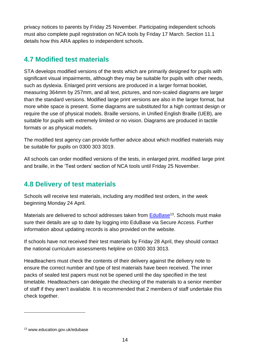privacy notices to parents by Friday 25 November. Participating independent schools must also complete pupil registration on NCA tools by Friday 17 March. Section 11.1 details how this ARA applies to independent schools.

## <span id="page-13-0"></span>**4.7 Modified test materials**

STA develops modified versions of the tests which are primarily designed for pupils with significant visual impairments, although they may be suitable for pupils with other needs, such as dyslexia. Enlarged print versions are produced in a larger format booklet, measuring 364mm by 257mm, and all text, pictures, and non-scaled diagrams are larger than the standard versions. Modified large print versions are also in the larger format, but more white space is present. Some diagrams are substituted for a high contrast design or require the use of physical models. Braille versions, in Unified English Braille (UEB), are suitable for pupils with extremely limited or no vision. Diagrams are produced in tactile formats or as physical models.

The modified test agency can provide further advice about which modified materials may be suitable for pupils on 0300 303 3019.

All schools can order modified versions of the tests, in enlarged print, modified large print and braille, in the 'Test orders' section of NCA tools until Friday 25 November.

## <span id="page-13-1"></span>**4.8 Delivery of test materials**

Schools will receive test materials, including any modified test orders, in the week beginning Monday 24 April.

Materials are delivered to school addresses taken from **EduBase<sup>13</sup>.** Schools must make sure their details are up to date by logging into EduBase via Secure Access. Further information about updating records is also provided on the website.

If schools have not received their test materials by Friday 28 April, they should contact the national curriculum assessments helpline on 0300 303 3013.

Headteachers must check the contents of their delivery against the delivery note to ensure the correct number and type of test materials have been received. The inner packs of sealed test papers must not be opened until the day specified in the test timetable. Headteachers can delegate the checking of the materials to a senior member of staff if they aren't available. It is recommended that 2 members of staff undertake this check together.

<sup>13</sup> www.education.gov.uk/edubase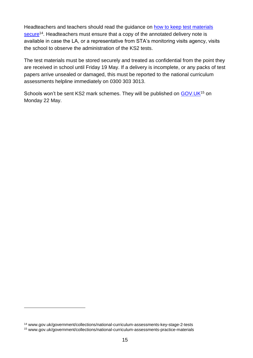Headteachers and teachers should read the guidance on [how to keep test materials](https://www.gov.uk/government/collections/national-curriculum-assessments-key-stage-2-tests)  [secure](https://www.gov.uk/government/collections/national-curriculum-assessments-key-stage-2-tests)<sup>14</sup>. Headteachers must ensure that a copy of the annotated delivery note is available in case the LA, or a representative from STA's monitoring visits agency, visits the school to observe the administration of the KS2 tests.

The test materials must be stored securely and treated as confidential from the point they are received in school until Friday 19 May. If a delivery is incomplete, or any packs of test papers arrive unsealed or damaged, this must be reported to the national curriculum assessments helpline immediately on 0300 303 3013.

Schools won't be sent KS2 mark schemes. They will be published on [GOV.UK](http://www.gov.uk/government/collections/national-curriculum-assessments-practice-materials)<sup>15</sup> on Monday 22 May.

<u>.</u>

<sup>14</sup> www.gov.uk/government/collections/national-curriculum-assessments-key-stage-2-tests <sup>15</sup> www.gov.uk/government/collections/national-curriculum-assessments-practice-materials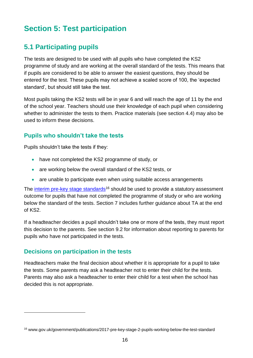# <span id="page-15-0"></span>**Section 5: Test participation**

## <span id="page-15-1"></span>**5.1 Participating pupils**

The tests are designed to be used with all pupils who have completed the KS2 programme of study and are working at the overall standard of the tests. This means that if pupils are considered to be able to answer the easiest questions, they should be entered for the test. These pupils may not achieve a scaled score of 100, the 'expected standard', but should still take the test.

Most pupils taking the KS2 tests will be in year 6 and will reach the age of 11 by the end of the school year. Teachers should use their knowledge of each pupil when considering whether to administer the tests to them. Practice materials (see section 4.4) may also be used to inform these decisions.

#### **Pupils who shouldn't take the tests**

Pupils shouldn't take the tests if they:

- have not completed the KS2 programme of study, or
- are working below the overall standard of the KS2 tests, or
- are unable to participate even when using suitable access arrangements

The [interim pre-key stage standards](https://www.gov.uk/government/publications/2017-pre-key-stage-2-pupils-working-below-the-test-standard)<sup>16</sup> should be used to provide a statutory assessment outcome for pupils that have not completed the programme of study or who are working below the standard of the tests. Section 7 includes further guidance about TA at the end of KS2.

If a headteacher decides a pupil shouldn't take one or more of the tests, they must report this decision to the parents. See section 9.2 for information about reporting to parents for pupils who have not participated in the tests.

#### **Decisions on participation in the tests**

1

Headteachers make the final decision about whether it is appropriate for a pupil to take the tests. Some parents may ask a headteacher not to enter their child for the tests. Parents may also ask a headteacher to enter their child for a test when the school has decided this is not appropriate.

<sup>16</sup> www.gov.uk/government/publications/2017-pre-key-stage-2-pupils-working-below-the-test-standard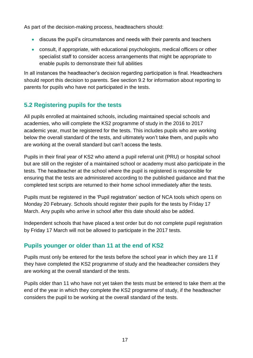As part of the decision-making process, headteachers should:

- discuss the pupil's circumstances and needs with their parents and teachers
- consult, if appropriate, with educational psychologists, medical officers or other specialist staff to consider access arrangements that might be appropriate to enable pupils to demonstrate their full abilities

In all instances the headteacher's decision regarding participation is final. Headteachers should report this decision to parents. See section 9.2 for information about reporting to parents for pupils who have not participated in the tests.

## <span id="page-16-0"></span>**5.2 Registering pupils for the tests**

All pupils enrolled at maintained schools, including maintained special schools and academies, who will complete the KS2 programme of study in the 2016 to 2017 academic year, must be registered for the tests. This includes pupils who are working below the overall standard of the tests, and ultimately won't take them, and pupils who are working at the overall standard but can't access the tests.

Pupils in their final year of KS2 who attend a pupil referral unit (PRU) or hospital school but are still on the register of a maintained school or academy must also participate in the tests. The headteacher at the school where the pupil is registered is responsible for ensuring that the tests are administered according to the published guidance and that the completed test scripts are returned to their home school immediately after the tests.

Pupils must be registered in the 'Pupil registration' section of NCA tools which opens on Monday 20 February. Schools should register their pupils for the tests by Friday 17 March. Any pupils who arrive in school after this date should also be added.

Independent schools that have placed a test order but do not complete pupil registration by Friday 17 March will not be allowed to participate in the 2017 tests.

#### **Pupils younger or older than 11 at the end of KS2**

Pupils must only be entered for the tests before the school year in which they are 11 if they have completed the KS2 programme of study and the headteacher considers they are working at the overall standard of the tests.

Pupils older than 11 who have not yet taken the tests must be entered to take them at the end of the year in which they complete the KS2 programme of study, if the headteacher considers the pupil to be working at the overall standard of the tests.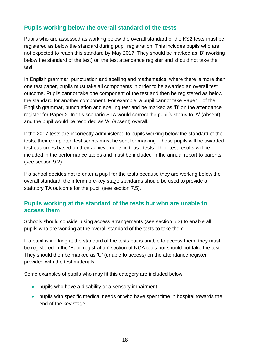#### **Pupils working below the overall standard of the tests**

Pupils who are assessed as working below the overall standard of the KS2 tests must be registered as below the standard during pupil registration. This includes pupils who are not expected to reach this standard by May 2017. They should be marked as 'B' (working below the standard of the test) on the test attendance register and should not take the test.

In English grammar, punctuation and spelling and mathematics, where there is more than one test paper, pupils must take all components in order to be awarded an overall test outcome. Pupils cannot take one component of the test and then be registered as below the standard for another component. For example, a pupil cannot take Paper 1 of the English grammar, punctuation and spelling test and be marked as 'B' on the attendance register for Paper 2. In this scenario STA would correct the pupil's status to 'A' (absent) and the pupil would be recorded as 'A' (absent) overall.

If the 2017 tests are incorrectly administered to pupils working below the standard of the tests, their completed test scripts must be sent for marking. These pupils will be awarded test outcomes based on their achievements in those tests. Their test results will be included in the performance tables and must be included in the annual report to parents (see section 9.2).

If a school decides not to enter a pupil for the tests because they are working below the overall standard, the interim pre-key stage standards should be used to provide a statutory TA outcome for the pupil (see section 7.5).

#### **Pupils working at the standard of the tests but who are unable to access them**

Schools should consider using access arrangements (see section 5.3) to enable all pupils who are working at the overall standard of the tests to take them.

If a pupil is working at the standard of the tests but is unable to access them, they must be registered in the 'Pupil registration' section of NCA tools but should not take the test. They should then be marked as 'U' (unable to access) on the attendance register provided with the test materials.

Some examples of pupils who may fit this category are included below:

- pupils who have a disability or a sensory impairment
- pupils with specific medical needs or who have spent time in hospital towards the end of the key stage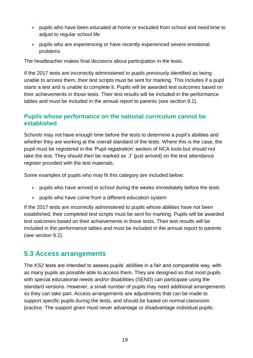- pupils who have been educated at home or excluded from school and need time to adjust to regular school life
- pupils who are experiencing or have recently experienced severe emotional problems

The headteacher makes final decisions about participation in the tests.

If the 2017 tests are incorrectly administered to pupils previously identified as being unable to access them, their test scripts must be sent for marking. This includes if a pupil starts a test and is unable to complete it. Pupils will be awarded test outcomes based on their achievements in those tests. Their test results will be included in the performance tables and must be included in the annual report to parents (see section 9.2).

#### **Pupils whose performance on the national curriculum cannot be established**

Schools may not have enough time before the tests to determine a pupil's abilities and whether they are working at the overall standard of the tests. Where this is the case, the pupil must be registered in the 'Pupil registration' section of NCA tools but should not take the test. They should then be marked as 'J' (just arrived) on the test attendance register provided with the test materials.

Some examples of pupils who may fit this category are included below:

- pupils who have arrived in school during the weeks immediately before the tests
- pupils who have come from a different education system

If the 2017 tests are incorrectly administered to pupils whose abilities have not been established, their completed test scripts must be sent for marking. Pupils will be awarded test outcomes based on their achievements in those tests. Their test results will be included in the performance tables and must be included in the annual report to parents (see section 9.2).

#### <span id="page-18-0"></span>**5.3 Access arrangements**

The KS2 tests are intended to assess pupils' abilities in a fair and comparable way, with as many pupils as possible able to access them. They are designed so that most pupils with special educational needs and/or disabilities (SEND) can participate using the standard versions. However, a small number of pupils may need additional arrangements so they can take part. Access arrangements are adjustments that can be made to support specific pupils during the tests, and should be based on normal classroom practice. The support given must never advantage or disadvantage individual pupils.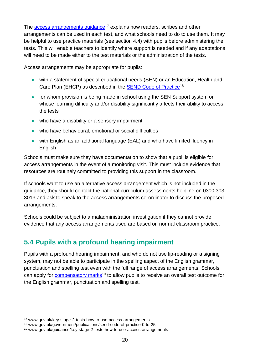The [access arrangements guidance](https://www.gov.uk/key-stage-2-tests-how-to-use-access-arrangements)<sup>17</sup> explains how readers, scribes and other arrangements can be used in each test, and what schools need to do to use them. It may be helpful to use practice materials (see section 4.4) with pupils before administering the tests. This will enable teachers to identify where support is needed and if any adaptations will need to be made either to the test materials or the administration of the tests.

Access arrangements may be appropriate for pupils:

- with a statement of special educational needs (SEN) or an Education, Health and Care Plan (EHCP) as described in the [SEND Code of Practice](https://www.gov.uk/government/publications/send-code-of-practice-0-to-25)<sup>18</sup>
- for whom provision is being made in school using the SEN Support system or whose learning difficulty and/or disability significantly affects their ability to access the tests
- who have a disability or a sensory impairment
- who have behavioural, emotional or social difficulties
- with English as an additional language (EAL) and who have limited fluency in **English**

Schools must make sure they have documentation to show that a pupil is eligible for access arrangements in the event of a monitoring visit. This must include evidence that resources are routinely committed to providing this support in the classroom.

If schools want to use an alternative access arrangement which is not included in the guidance, they should contact the national curriculum assessments helpline on 0300 303 3013 and ask to speak to the access arrangements co-ordinator to discuss the proposed arrangements.

Schools could be subject to a maladministration investigation if they cannot provide evidence that any access arrangements used are based on normal classroom practice.

## <span id="page-19-0"></span>**5.4 Pupils with a profound hearing impairment**

Pupils with a profound hearing impairment, and who do not use lip-reading or a signing system, may not be able to participate in the spelling aspect of the English grammar, punctuation and spelling test even with the full range of access arrangements. Schools can apply for [compensatory marks](https://www.gov.uk/guidance/key-stage-2-tests-how-to-use-access-arrangements)<sup>19</sup> to allow pupils to receive an overall test outcome for the English grammar, punctuation and spelling test.

<sup>17</sup> www.gov.uk/key-stage-2-tests-how-to-use-access-arrangements

<sup>18</sup> www.gov.uk/government/publications/send-code-of-practice-0-to-25

<sup>19</sup> www.gov.uk/guidance/key-stage-2-tests-how-to-use-access-arrangements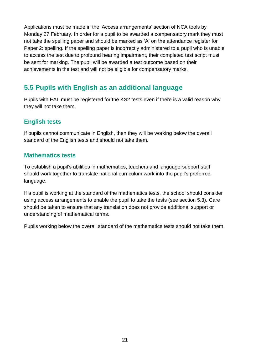Applications must be made in the 'Access arrangements' section of NCA tools by Monday 27 February. In order for a pupil to be awarded a compensatory mark they must not take the spelling paper and should be marked as 'A' on the attendance register for Paper 2: spelling. If the spelling paper is incorrectly administered to a pupil who is unable to access the test due to profound hearing impairment, their completed test script must be sent for marking. The pupil will be awarded a test outcome based on their achievements in the test and will not be eligible for compensatory marks.

## <span id="page-20-0"></span>**5.5 Pupils with English as an additional language**

Pupils with EAL must be registered for the KS2 tests even if there is a valid reason why they will not take them.

#### **English tests**

If pupils cannot communicate in English, then they will be working below the overall standard of the English tests and should not take them.

#### **Mathematics tests**

To establish a pupil's abilities in mathematics, teachers and language-support staff should work together to translate national curriculum work into the pupil's preferred language.

If a pupil is working at the standard of the mathematics tests, the school should consider using access arrangements to enable the pupil to take the tests (see section 5.3). Care should be taken to ensure that any translation does not provide additional support or understanding of mathematical terms.

Pupils working below the overall standard of the mathematics tests should not take them.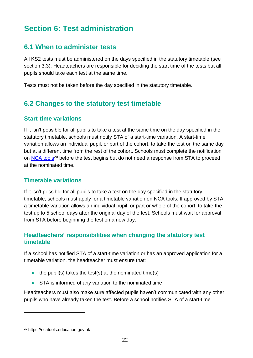# <span id="page-21-0"></span>**Section 6: Test administration**

## <span id="page-21-1"></span>**6.1 When to administer tests**

All KS2 tests must be administered on the days specified in the statutory timetable (see section 3.3). Headteachers are responsible for deciding the start time of the tests but all pupils should take each test at the same time.

Tests must not be taken before the day specified in the statutory timetable.

## <span id="page-21-2"></span>**6.2 Changes to the statutory test timetable**

#### **Start-time variations**

If it isn't possible for all pupils to take a test at the same time on the day specified in the statutory timetable, schools must notify STA of a start-time variation. A start-time variation allows an individual pupil, or part of the cohort, to take the test on the same day but at a different time from the rest of the cohort. Schools must complete the notification on [NCA tools](https://ncatools.education.gov.uk/)<sup>20</sup> before the test begins but do not need a response from STA to proceed at the nominated time.

#### **Timetable variations**

If it isn't possible for all pupils to take a test on the day specified in the statutory timetable, schools must apply for a timetable variation on NCA tools. If approved by STA, a timetable variation allows an individual pupil, or part or whole of the cohort, to take the test up to 5 school days after the original day of the test. Schools must wait for approval from STA before beginning the test on a new day.

#### **Headteachers' responsibilities when changing the statutory test timetable**

If a school has notified STA of a start-time variation or has an approved application for a timetable variation, the headteacher must ensure that:

- $\bullet$  the pupil(s) takes the test(s) at the nominated time(s)
- **STA** is informed of any variation to the nominated time

Headteachers must also make sure affected pupils haven't communicated with any other pupils who have already taken the test. Before a school notifies STA of a start-time

<sup>20</sup> https://ncatools.education.gov.uk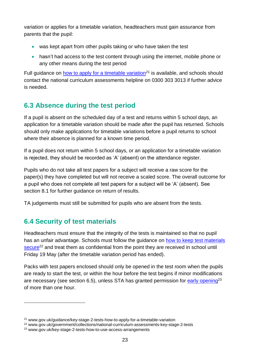variation or applies for a timetable variation, headteachers must gain assurance from parents that the pupil:

- was kept apart from other pupils taking or who have taken the test
- hasn't had access to the test content through using the internet, mobile phone or any other means during the test period

Full guidance on [how to apply for a timetable variation](https://www.gov.uk/guidance/key-stage-2-tests-how-to-apply-for-a-timetable-variation)<sup>21</sup> is available, and schools should contact the national curriculum assessments helpline on 0300 303 3013 if further advice is needed.

## <span id="page-22-0"></span>**6.3 Absence during the test period**

If a pupil is absent on the scheduled day of a test and returns within 5 school days, an application for a timetable variation should be made after the pupil has returned. Schools should only make applications for timetable variations before a pupil returns to school where their absence is planned for a known time period.

If a pupil does not return within 5 school days, or an application for a timetable variation is rejected, they should be recorded as 'A' (absent) on the attendance register.

Pupils who do not take all test papers for a subject will receive a raw score for the paper(s) they have completed but will not receive a scaled score. The overall outcome for a pupil who does not complete all test papers for a subject will be 'A' (absent). See section 8.1 for further guidance on return of results.

TA judgements must still be submitted for pupils who are absent from the tests.

## <span id="page-22-1"></span>**6.4 Security of test materials**

1

Headteachers must ensure that the integrity of the tests is maintained so that no pupil has an unfair advantage. Schools must follow the guidance on [how to keep test materials](https://www.gov.uk/government/collections/national-curriculum-assessments-key-stage-2-tests)  [secure](https://www.gov.uk/government/collections/national-curriculum-assessments-key-stage-2-tests)<sup>22</sup> and treat them as confidential from the point they are received in school until Friday 19 May (after the timetable variation period has ended).

Packs with test papers enclosed should only be opened in the test room when the pupils are ready to start the test, or within the hour before the test begins if minor modifications are necessary (see section 6.5), unless STA has granted permission for [early opening](https://www.gov.uk/key-stage-2-tests-how-to-use-access-arrangements)<sup>23</sup> of more than one hour.

<sup>21</sup> www.gov.uk/guidance/key-stage-2-tests-how-to-apply-for-a-timetable-variation

<sup>22</sup> www.gov.uk/government/collections/national-curriculum-assessments-key-stage-2-tests

<sup>23</sup> www.gov.uk/key-stage-2-tests-how-to-use-access-arrangements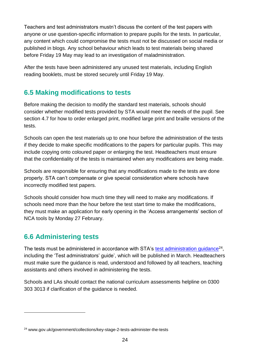Teachers and test administrators mustn't discuss the content of the test papers with anyone or use question-specific information to prepare pupils for the tests. In particular, any content which could compromise the tests must not be discussed on social media or published in blogs. Any school behaviour which leads to test materials being shared before Friday 19 May may lead to an investigation of maladministration.

After the tests have been administered any unused test materials, including English reading booklets, must be stored securely until Friday 19 May.

## <span id="page-23-0"></span>**6.5 Making modifications to tests**

Before making the decision to modify the standard test materials, schools should consider whether modified tests provided by STA would meet the needs of the pupil. See section 4.7 for how to order enlarged print, modified large print and braille versions of the tests.

Schools can open the test materials up to one hour before the administration of the tests if they decide to make specific modifications to the papers for particular pupils. This may include copying onto coloured paper or enlarging the test. Headteachers must ensure that the confidentiality of the tests is maintained when any modifications are being made.

Schools are responsible for ensuring that any modifications made to the tests are done properly. STA can't compensate or give special consideration where schools have incorrectly modified test papers.

Schools should consider how much time they will need to make any modifications. If schools need more than the hour before the test start time to make the modifications, they must make an application for early opening in the 'Access arrangements' section of NCA tools by Monday 27 February.

## <span id="page-23-1"></span>**6.6 Administering tests**

1

The tests must be administered in accordance with STA's [test administration guidance](https://www.gov.uk/government/collections/key-stage-2-tests-administer-the-tests)<sup>24</sup>, including the 'Test administrators' guide', which will be published in March. Headteachers must make sure the guidance is read, understood and followed by all teachers, teaching assistants and others involved in administering the tests.

Schools and LAs should contact the national curriculum assessments helpline on 0300 303 3013 if clarification of the guidance is needed.

<sup>24</sup> www.gov.uk/government/collections/key-stage-2-tests-administer-the-tests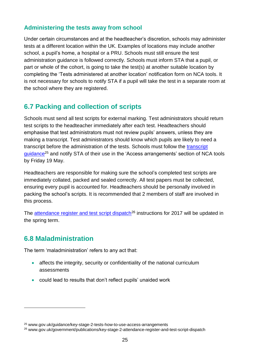#### **Administering the tests away from school**

Under certain circumstances and at the headteacher's discretion, schools may administer tests at a different location within the UK. Examples of locations may include another school, a pupil's home, a hospital or a PRU. Schools must still ensure the test administration guidance is followed correctly. Schools must inform STA that a pupil, or part or whole of the cohort, is going to take the test(s) at another suitable location by completing the 'Tests administered at another location' notification form on NCA tools. It is not necessary for schools to notify STA if a pupil will take the test in a separate room at the school where they are registered.

## <span id="page-24-0"></span>**6.7 Packing and collection of scripts**

Schools must send all test scripts for external marking. Test administrators should return test scripts to the headteacher immediately after each test. Headteachers should emphasise that test administrators must not review pupils' answers, unless they are making a transcript. Test administrators should know which pupils are likely to need a transcript before the administration of the tests. Schools must follow the [transcript](https://www.gov.uk/guidance/key-stage-2-tests-how-to-use-access-arrangements)  [guidance](https://www.gov.uk/guidance/key-stage-2-tests-how-to-use-access-arrangements)<sup>25</sup> and notify STA of their use in the 'Access arrangements' section of NCA tools by Friday 19 May.

Headteachers are responsible for making sure the school's completed test scripts are immediately collated, packed and sealed correctly. All test papers must be collected, ensuring every pupil is accounted for. Headteachers should be personally involved in packing the school's scripts. It is recommended that 2 members of staff are involved in this process.

The [attendance register and test script dispatch](https://www.gov.uk/government/publications/key-stage-2-attendance-register-and-test-script-dispatch)<sup>26</sup> instructions for 2017 will be updated in the spring term.

## <span id="page-24-1"></span>**6.8 Maladministration**

<u>.</u>

The term 'maladministration' refers to any act that:

- affects the integrity, security or confidentiality of the national curriculum assessments
- could lead to results that don't reflect pupils' unaided work

<sup>25</sup> www.gov.uk/guidance/key-stage-2-tests-how-to-use-access-arrangements

<sup>26</sup> www.gov.uk/government/publications/key-stage-2-attendance-register-and-test-script-dispatch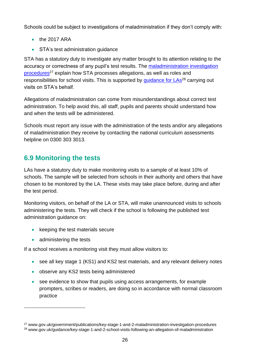Schools could be subject to investigations of maladministration if they don't comply with:

- $\bullet$  the 2017 ARA
- STA's test administration quidance

STA has a statutory duty to investigate any matter brought to its attention relating to the accuracy or correctness of any pupil's test results. The [maladministration investigation](https://www.gov.uk/government/publications/key-stage-1-and-2-maladministration-investigation-procedures)  [procedures](https://www.gov.uk/government/publications/key-stage-1-and-2-maladministration-investigation-procedures)<sup>27</sup> explain how STA processes allegations, as well as roles and responsibilities for school visits. This is supported by quidance for LAs<sup>28</sup> carrying out visits on STA's behalf.

Allegations of maladministration can come from misunderstandings about correct test administration. To help avoid this, all staff, pupils and parents should understand how and when the tests will be administered.

Schools must report any issue with the administration of the tests and/or any allegations of maladministration they receive by contacting the national curriculum assessments helpline on 0300 303 3013.

## <span id="page-25-0"></span>**6.9 Monitoring the tests**

LAs have a statutory duty to make monitoring visits to a sample of at least 10% of schools. The sample will be selected from schools in their authority and others that have chosen to be monitored by the LA. These visits may take place before, during and after the test period.

Monitoring visitors, on behalf of the LA or STA, will make unannounced visits to schools administering the tests. They will check if the school is following the published test administration guidance on:

- $\bullet$  keeping the test materials secure
- administering the tests

<u>.</u>

If a school receives a monitoring visit they must allow visitors to:

- see all key stage 1 (KS1) and KS2 test materials, and any relevant delivery notes
- observe any KS2 tests being administered
- see evidence to show that pupils using access arrangements, for example prompters, scribes or readers, are doing so in accordance with normal classroom practice

<sup>27</sup> www.gov.uk/government/publications/key-stage-1-and-2-maladministration-investigation-procedures <sup>28</sup> www.gov.uk/guidance/key-stage-1-and-2-school-visits-following-an-allegation-of-maladministration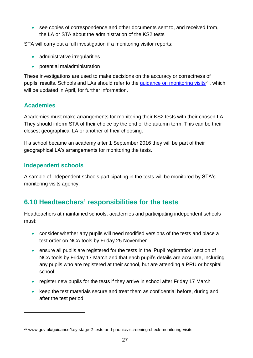see copies of correspondence and other documents sent to, and received from, the LA or STA about the administration of the KS2 tests

STA will carry out a full investigation if a monitoring visitor reports:

- administrative irregularities
- potential maladministration

These investigations are used to make decisions on the accuracy or correctness of pupils' results. Schools and LAs should refer to the quidance on monitoring visits<sup>29</sup>, which will be updated in April, for further information.

#### **Academies**

1

Academies must make arrangements for monitoring their KS2 tests with their chosen LA. They should inform STA of their choice by the end of the autumn term. This can be their closest geographical LA or another of their choosing.

If a school became an academy after 1 September 2016 they will be part of their geographical LA's arrangements for monitoring the tests.

#### **Independent schools**

A sample of independent schools participating in the tests will be monitored by STA's monitoring visits agency.

## <span id="page-26-0"></span>**6.10 Headteachers' responsibilities for the tests**

Headteachers at maintained schools, academies and participating independent schools must:

- consider whether any pupils will need modified versions of the tests and place a test order on NCA tools by Friday 25 November
- ensure all pupils are registered for the tests in the 'Pupil registration' section of NCA tools by Friday 17 March and that each pupil's details are accurate, including any pupils who are registered at their school, but are attending a PRU or hospital school
- register new pupils for the tests if they arrive in school after Friday 17 March
- keep the test materials secure and treat them as confidential before, during and after the test period

<sup>29</sup> www.gov.uk/guidance/key-stage-2-tests-and-phonics-screening-check-monitoring-visits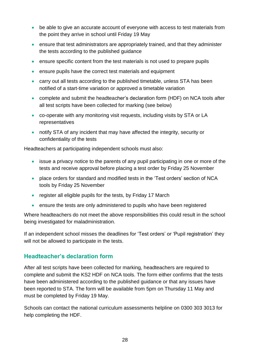- be able to give an accurate account of everyone with access to test materials from the point they arrive in school until Friday 19 May
- ensure that test administrators are appropriately trained, and that they administer the tests according to the published guidance
- ensure specific content from the test materials is not used to prepare pupils
- ensure pupils have the correct test materials and equipment
- carry out all tests according to the published timetable, unless STA has been notified of a start-time variation or approved a timetable variation
- complete and submit the headteacher's declaration form (HDF) on NCA tools after all test scripts have been collected for marking (see below)
- co-operate with any monitoring visit requests, including visits by STA or LA representatives
- notify STA of any incident that may have affected the integrity, security or confidentiality of the tests

Headteachers at participating independent schools must also:

- issue a privacy notice to the parents of any pupil participating in one or more of the tests and receive approval before placing a test order by Friday 25 November
- place orders for standard and modified tests in the 'Test orders' section of NCA tools by Friday 25 November
- register all eligible pupils for the tests, by Friday 17 March
- ensure the tests are only administered to pupils who have been registered

Where headteachers do not meet the above responsibilities this could result in the school being investigated for maladministration.

If an independent school misses the deadlines for 'Test orders' or 'Pupil registration' they will not be allowed to participate in the tests.

#### **Headteacher's declaration form**

After all test scripts have been collected for marking, headteachers are required to complete and submit the KS2 HDF on NCA tools. The form either confirms that the tests have been administered according to the published guidance or that any issues have been reported to STA. The form will be available from 5pm on Thursday 11 May and must be completed by Friday 19 May.

Schools can contact the national curriculum assessments helpline on 0300 303 3013 for help completing the HDF.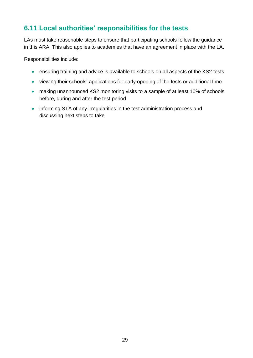## <span id="page-28-0"></span>**6.11 Local authorities' responsibilities for the tests**

LAs must take reasonable steps to ensure that participating schools follow the guidance in this ARA. This also applies to academies that have an agreement in place with the LA.

Responsibilities include:

- ensuring training and advice is available to schools on all aspects of the KS2 tests
- viewing their schools' applications for early opening of the tests or additional time
- making unannounced KS2 monitoring visits to a sample of at least 10% of schools before, during and after the test period
- informing STA of any irregularities in the test administration process and discussing next steps to take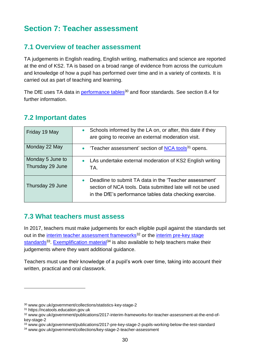# <span id="page-29-0"></span>**Section 7: Teacher assessment**

## <span id="page-29-1"></span>**7.1 Overview of teacher assessment**

TA judgements in English reading, English writing, mathematics and science are reported at the end of KS2. TA is based on a broad range of evidence from across the curriculum and knowledge of how a pupil has performed over time and in a variety of contexts. It is carried out as part of teaching and learning.

The DfE uses TA data in [performance tables](https://www.gov.uk/government/collections/statistics-key-stage-2)<sup>30</sup> and floor standards. See section 8.4 for further information.

#### <span id="page-29-2"></span>**7.2 Important dates**

| Friday 19 May                        | Schools informed by the LA on, or after, this date if they<br>$\bullet$<br>are going to receive an external moderation visit.                                                   |
|--------------------------------------|---------------------------------------------------------------------------------------------------------------------------------------------------------------------------------|
| Monday 22 May                        | 'Teacher assessment' section of NCA tools <sup>31</sup> opens.                                                                                                                  |
| Monday 5 June to<br>Thursday 29 June | LAs undertake external moderation of KS2 English writing<br>TA.                                                                                                                 |
| Thursday 29 June                     | Deadline to submit TA data in the 'Teacher assessment'<br>section of NCA tools. Data submitted late will not be used<br>in the DfE's performance tables data checking exercise. |

#### <span id="page-29-3"></span>**7.3 What teachers must assess**

In 2017, teachers must make judgements for each eligible pupil against the standards set out in the [interim teacher assessment frameworks](https://www.gov.uk/government/publications/2017-interim-frameworks-for-teacher-assessment-at-the-end-of-key-stage-2)<sup>32</sup> or the interim pre-key stage [standards](https://www.gov.uk/government/publications/2017-pre-key-stage-2-pupils-working-below-the-test-standard)<sup>33</sup>. [Exemplification material](https://www.gov.uk/government/collections/key-stage-2-teacher-assessment)<sup>34</sup> is also available to help teachers make their judgements where they want additional guidance.

Teachers must use their knowledge of a pupil's work over time, taking into account their written, practical and oral classwork.

<sup>30</sup> www.gov.uk/government/collections/statistics-key-stage-2

<sup>31</sup> https://ncatools.education.gov.uk

<sup>32</sup> www.gov.uk/government/publications/2017-interim-frameworks-for-teacher-assessment-at-the-end-ofkey-stage-2

<sup>33</sup> www.gov.uk/government/publications/2017-pre-key-stage-2-pupils-working-below-the-test-standard

<sup>34</sup> www.gov.uk/government/collections/key-stage-2-teacher-assessment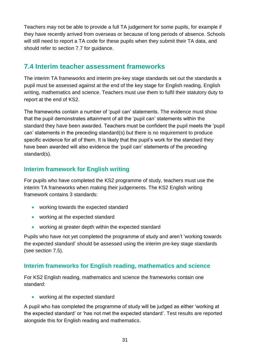Teachers may not be able to provide a full TA judgement for some pupils, for example if they have recently arrived from overseas or because of long periods of absence. Schools will still need to report a TA code for these pupils when they submit their TA data, and should refer to section 7.7 for guidance.

## <span id="page-30-0"></span>**7.4 Interim teacher assessment frameworks**

The interim TA frameworks and interim pre-key stage standards set out the standards a pupil must be assessed against at the end of the key stage for English reading, English writing, mathematics and science. Teachers must use them to fulfil their statutory duty to report at the end of KS2.

The frameworks contain a number of 'pupil can' statements. The evidence must show that the pupil demonstrates attainment of all the 'pupil can' statements within the standard they have been awarded. Teachers must be confident the pupil meets the 'pupil can' statements in the preceding standard(s) but there is no requirement to produce specific evidence for all of them. It is likely that the pupil's work for the standard they have been awarded will also evidence the 'pupil can' statements of the preceding standard(s).

#### **Interim framework for English writing**

For pupils who have completed the KS2 programme of study, teachers must use the interim TA frameworks when making their judgements. The KS2 English writing framework contains 3 standards:

- working towards the expected standard
- working at the expected standard
- working at greater depth within the expected standard

Pupils who have not yet completed the programme of study and aren't 'working towards the expected standard' should be assessed using the interim pre-key stage standards (see section 7.5).

#### **Interim frameworks for English reading, mathematics and science**

For KS2 English reading, mathematics and science the frameworks contain one standard:

• working at the expected standard

A pupil who has completed the programme of study will be judged as either 'working at the expected standard' or 'has not met the expected standard'. Test results are reported alongside this for English reading and mathematics.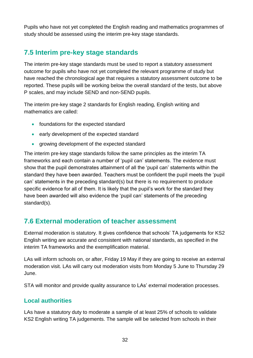Pupils who have not yet completed the English reading and mathematics programmes of study should be assessed using the interim pre-key stage standards.

## <span id="page-31-0"></span>**7.5 Interim pre-key stage standards**

The interim pre-key stage standards must be used to report a statutory assessment outcome for pupils who have not yet completed the relevant programme of study but have reached the chronological age that requires a statutory assessment outcome to be reported. These pupils will be working below the overall standard of the tests, but above P scales, and may include SEND and non-SEND pupils.

The interim pre-key stage 2 standards for English reading, English writing and mathematics are called:

- foundations for the expected standard
- early development of the expected standard
- growing development of the expected standard

The interim pre-key stage standards follow the same principles as the interim TA frameworks and each contain a number of 'pupil can' statements. The evidence must show that the pupil demonstrates attainment of all the 'pupil can' statements within the standard they have been awarded. Teachers must be confident the pupil meets the 'pupil can' statements in the preceding standard(s) but there is no requirement to produce specific evidence for all of them. It is likely that the pupil's work for the standard they have been awarded will also evidence the 'pupil can' statements of the preceding standard(s).

## <span id="page-31-1"></span>**7.6 External moderation of teacher assessment**

External moderation is statutory. It gives confidence that schools' TA judgements for KS2 English writing are accurate and consistent with national standards, as specified in the interim TA frameworks and the exemplification material.

LAs will inform schools on, or after, Friday 19 May if they are going to receive an external moderation visit. LAs will carry out moderation visits from Monday 5 June to Thursday 29 June.

STA will monitor and provide quality assurance to LAs' external moderation processes.

#### **Local authorities**

LAs have a statutory duty to moderate a sample of at least 25% of schools to validate KS2 English writing TA judgements. The sample will be selected from schools in their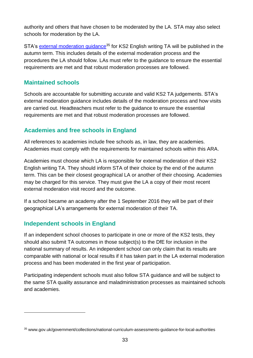authority and others that have chosen to be moderated by the LA. STA may also select schools for moderation by the LA.

STA's external moderation quidance<sup>35</sup> for KS2 English writing TA will be published in the autumn term. This includes details of the external moderation process and the procedures the LA should follow. LAs must refer to the guidance to ensure the essential requirements are met and that robust moderation processes are followed.

#### **Maintained schools**

Schools are accountable for submitting accurate and valid KS2 TA judgements. STA's external moderation guidance includes details of the moderation process and how visits are carried out. Headteachers must refer to the guidance to ensure the essential requirements are met and that robust moderation processes are followed.

#### **Academies and free schools in England**

All references to academies include free schools as, in law, they are academies. Academies must comply with the requirements for maintained schools within this ARA.

Academies must choose which LA is responsible for external moderation of their KS2 English writing TA. They should inform STA of their choice by the end of the autumn term. This can be their closest geographical LA or another of their choosing. Academies may be charged for this service. They must give the LA a copy of their most recent external moderation visit record and the outcome.

If a school became an academy after the 1 September 2016 they will be part of their geographical LA's arrangements for external moderation of their TA.

#### **Independent schools in England**

1

If an independent school chooses to participate in one or more of the KS2 tests, they should also submit TA outcomes in those subject(s) to the DfE for inclusion in the national summary of results. An independent school can only claim that its results are comparable with national or local results if it has taken part in the LA external moderation process and has been moderated in the first year of participation.

Participating independent schools must also follow STA guidance and will be subject to the same STA quality assurance and maladministration processes as maintained schools and academies.

<sup>35</sup> www.gov.uk/government/collections/national-curriculum-assessments-guidance-for-local-authorities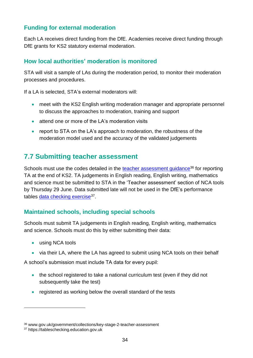#### **Funding for external moderation**

Each LA receives direct funding from the DfE. Academies receive direct funding through DfE grants for KS2 statutory external moderation.

#### **How local authorities' moderation is monitored**

STA will visit a sample of LAs during the moderation period, to monitor their moderation processes and procedures.

If a LA is selected, STA's external moderators will:

- meet with the KS2 English writing moderation manager and appropriate personnel to discuss the approaches to moderation, training and support
- attend one or more of the LA's moderation visits
- report to STA on the LA's approach to moderation, the robustness of the moderation model used and the accuracy of the validated judgements

## <span id="page-33-0"></span>**7.7 Submitting teacher assessment**

Schools must use the codes detailed in the [teacher assessment guidance](http://www.gov.uk/government/collections/key-stage-2-teacher-assessment)<sup>36</sup> for reporting TA at the end of KS2. TA judgements in English reading, English writing, mathematics and science must be submitted to STA in the 'Teacher assessment' section of NCA tools by Thursday 29 June. Data submitted late will not be used in the DfE's performance tables *data checking exercise*<sup>37</sup>.

#### **Maintained schools, including special schools**

Schools must submit TA judgements in English reading, English writing, mathematics and science. Schools must do this by either submitting their data:

using NCA tools

<u>.</u>

• via their LA, where the LA has agreed to submit using NCA tools on their behalf

A school's submission must include TA data for every pupil:

- the school registered to take a national curriculum test (even if they did not subsequently take the test)
- registered as working below the overall standard of the tests

<sup>36</sup> www.gov.uk/government/collections/key-stage-2-teacher-assessment

<sup>37</sup> https://tableschecking.education.gov.uk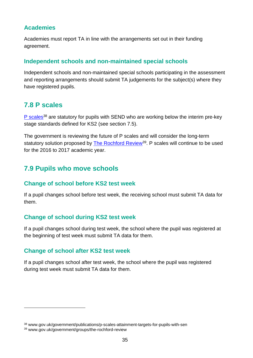#### **Academies**

Academies must report TA in line with the arrangements set out in their funding agreement.

#### **Independent schools and non-maintained special schools**

Independent schools and non-maintained special schools participating in the assessment and reporting arrangements should submit TA judgements for the subject(s) where they have registered pupils.

## <span id="page-34-0"></span>**7.8 P scales**

[P scales](https://www.gov.uk/government/publications/p-scales-attainment-targets-for-pupils-with-sen)<sup>38</sup> are statutory for pupils with SEND who are working below the interim pre-key stage standards defined for KS2 (see section 7.5).

The government is reviewing the future of P scales and will consider the long-term statutory solution proposed by **The Rochford Review<sup>39</sup>**. P scales will continue to be used for the 2016 to 2017 academic year.

## <span id="page-34-1"></span>**7.9 Pupils who move schools**

#### **Change of school before KS2 test week**

If a pupil changes school before test week, the receiving school must submit TA data for them.

#### **Change of school during KS2 test week**

If a pupil changes school during test week, the school where the pupil was registered at the beginning of test week must submit TA data for them.

#### **Change of school after KS2 test week**

If a pupil changes school after test week, the school where the pupil was registered during test week must submit TA data for them.

<u>.</u>

<sup>38</sup> www.gov.uk/government/publications/p-scales-attainment-targets-for-pupils-with-sen

<sup>39</sup> www.gov.uk/government/groups/the-rochford-review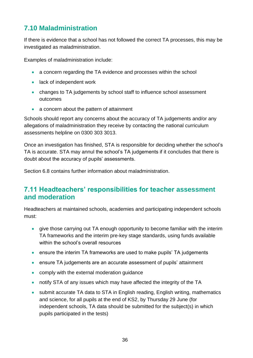## <span id="page-35-0"></span>**7.10 Maladministration**

If there is evidence that a school has not followed the correct TA processes, this may be investigated as maladministration.

Examples of maladministration include:

- a concern regarding the TA evidence and processes within the school
- lack of independent work
- changes to TA judgements by school staff to influence school assessment outcomes
- a concern about the pattern of attainment

Schools should report any concerns about the accuracy of TA judgements and/or any allegations of maladministration they receive by contacting the national curriculum assessments helpline on 0300 303 3013.

Once an investigation has finished, STA is responsible for deciding whether the school's TA is accurate. STA may annul the school's TA judgements if it concludes that there is doubt about the accuracy of pupils' assessments.

Section 6.8 contains further information about maladministration.

## <span id="page-35-1"></span>**7.11 Headteachers' responsibilities for teacher assessment and moderation**

Headteachers at maintained schools, academies and participating independent schools must:

- give those carrying out TA enough opportunity to become familiar with the interim TA frameworks and the interim pre-key stage standards, using funds available within the school's overall resources
- ensure the interim TA frameworks are used to make pupils' TA judgements
- ensure TA judgements are an accurate assessment of pupils' attainment
- comply with the external moderation quidance
- notify STA of any issues which may have affected the integrity of the TA
- submit accurate TA data to STA in English reading, English writing, mathematics and science, for all pupils at the end of KS2, by Thursday 29 June (for independent schools, TA data should be submitted for the subject(s) in which pupils participated in the tests)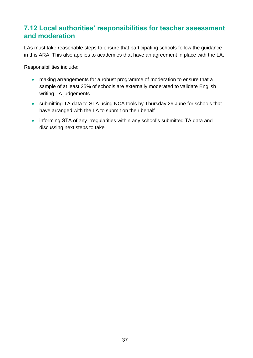## <span id="page-36-0"></span>**7.12 Local authorities' responsibilities for teacher assessment and moderation**

LAs must take reasonable steps to ensure that participating schools follow the guidance in this ARA. This also applies to academies that have an agreement in place with the LA.

Responsibilities include:

- making arrangements for a robust programme of moderation to ensure that a sample of at least 25% of schools are externally moderated to validate English writing TA judgements
- submitting TA data to STA using NCA tools by Thursday 29 June for schools that have arranged with the LA to submit on their behalf
- informing STA of any irregularities within any school's submitted TA data and discussing next steps to take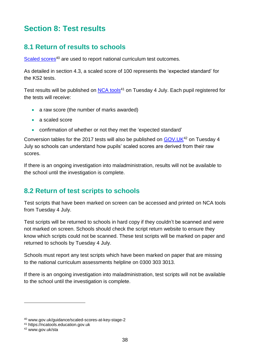# <span id="page-37-0"></span>**Section 8: Test results**

## <span id="page-37-1"></span>**8.1 Return of results to schools**

[Scaled scores](https://www.gov.uk/guidance/scaled-scores-at-key-stage-2)<sup>40</sup> are used to report national curriculum test outcomes.

As detailed in section 4.3, a scaled score of 100 represents the 'expected standard' for the KS2 tests.

Test results will be published on [NCA tools](https://ncatools.education.gov.uk/)<sup>41</sup> on Tuesday 4 July. Each pupil registered for the tests will receive:

- a raw score (the number of marks awarded)
- a scaled score
- confirmation of whether or not they met the 'expected standard'

Conversion tables for the 2017 tests will also be published on GOV. UK<sup>42</sup> on Tuesday 4 July so schools can understand how pupils' scaled scores are derived from their raw scores.

If there is an ongoing investigation into maladministration, results will not be available to the school until the investigation is complete.

## <span id="page-37-2"></span>**8.2 Return of test scripts to schools**

Test scripts that have been marked on screen can be accessed and printed on NCA tools from Tuesday 4 July.

Test scripts will be returned to schools in hard copy if they couldn't be scanned and were not marked on screen. Schools should check the script return website to ensure they know which scripts could not be scanned. These test scripts will be marked on paper and returned to schools by Tuesday 4 July.

Schools must report any test scripts which have been marked on paper that are missing to the national curriculum assessments helpline on 0300 303 3013.

If there is an ongoing investigation into maladministration, test scripts will not be available to the school until the investigation is complete.

<sup>40</sup> www.gov.uk/guidance/scaled-scores-at-key-stage-2

<sup>41</sup> https://ncatools.education.gov.uk

<sup>42</sup> www.gov.uk/sta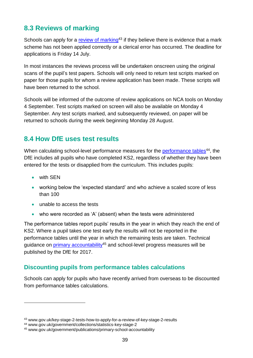## <span id="page-38-0"></span>**8.3 Reviews of marking**

Schools can apply for a [review of marking](https://www.gov.uk/key-stage-2-tests-how-to-apply-for-a-review-of-key-stage-2-results)<sup>43</sup> if they believe there is evidence that a mark scheme has not been applied correctly or a clerical error has occurred. The deadline for applications is Friday 14 July.

In most instances the reviews process will be undertaken onscreen using the original scans of the pupil's test papers. Schools will only need to return test scripts marked on paper for those pupils for whom a review application has been made. These scripts will have been returned to the school.

Schools will be informed of the outcome of review applications on NCA tools on Monday 4 September. Test scripts marked on screen will also be available on Monday 4 September. Any test scripts marked, and subsequently reviewed, on paper will be returned to schools during the week beginning Monday 28 August.

## <span id="page-38-1"></span>**8.4 How DfE uses test results**

When calculating school-level performance measures for the [performance tables](https://www.gov.uk/government/collections/statistics-key-stage-2)<sup>44</sup>, the DfE includes all pupils who have completed KS2, regardless of whether they have been entered for the tests or disapplied from the curriculum. This includes pupils:

with SEN

1

- working below the 'expected standard' and who achieve a scaled score of less than 100
- unable to access the tests
- who were recorded as 'A' (absent) when the tests were administered

The performance tables report pupils' results in the year in which they reach the end of KS2. Where a pupil takes one test early the results will not be reported in the performance tables until the year in which the remaining tests are taken. Technical guidance on *primary accountability<sup>45</sup>* and school-level progress measures will be published by the DfE for 2017.

#### **Discounting pupils from performance tables calculations**

Schools can apply for pupils who have recently arrived from overseas to be discounted from performance tables calculations.

<sup>43</sup> www.gov.uk/key-stage-2-tests-how-to-apply-for-a-review-of-key-stage-2-results

<sup>44</sup> www.gov.uk/government/collections/statistics-key-stage-2

<sup>45</sup> www.gov.uk/government/publications/primary-school-accountability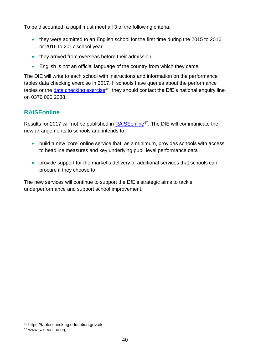To be discounted, a pupil must meet all 3 of the following criteria:

- they were admitted to an English school for the first time during the 2015 to 2016 or 2016 to 2017 school year
- they arrived from overseas before their admission
- English is not an official language of the country from which they came

The DfE will write to each school with instructions and information on the performance tables data checking exercise in 2017. If schools have queries about the performance tables or the [data checking exercise](https://tableschecking.education.gov.uk/)<sup>46</sup>, they should contact the DfE's national enquiry line on 0370 000 2288.

#### **RAISEonline**

Results for 2017 will not be published in [RAISEonline](https://www.raiseonline.org/)<sup>47</sup>. The DfE will communicate the new arrangements to schools and intends to:

- build a new 'core' online service that, as a minimum, provides schools with access to headline measures and key underlying pupil level performance data
- provide support for the market's delivery of additional services that schools can procure if they choose to

The new services will continue to support the DfE's strategic aims to tackle underperformance and support school improvement.

<u>.</u>

<sup>46</sup> https://tableschecking.education.gov.uk

<sup>47</sup> www.raiseonline.org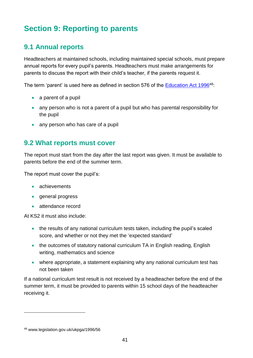# <span id="page-40-0"></span>**Section 9: Reporting to parents**

## <span id="page-40-1"></span>**9.1 Annual reports**

Headteachers at maintained schools, including maintained special schools, must prepare annual reports for every pupil's parents. Headteachers must make arrangements for parents to discuss the report with their child's teacher, if the parents request it.

The term 'parent' is used here as defined in section 576 of the [Education Act 1996](http://www.legislation.gov.uk/ukpga/1996/56)<sup>48</sup>:

- $\bullet$  a parent of a pupil
- any person who is not a parent of a pupil but who has parental responsibility for the pupil
- any person who has care of a pupil

#### <span id="page-40-2"></span>**9.2 What reports must cover**

The report must start from the day after the last report was given. It must be available to parents before the end of the summer term.

The report must cover the pupil's:

- achievements
- general progress
- attendance record

At KS2 it must also include:

- the results of any national curriculum tests taken, including the pupil's scaled score, and whether or not they met the 'expected standard'
- the outcomes of statutory national curriculum TA in English reading, English writing, mathematics and science
- where appropriate, a statement explaining why any national curriculum test has not been taken

If a national curriculum test result is not received by a headteacher before the end of the summer term, it must be provided to parents within 15 school days of the headteacher receiving it.

<sup>48</sup> www.legislation.gov.uk/ukpga/1996/56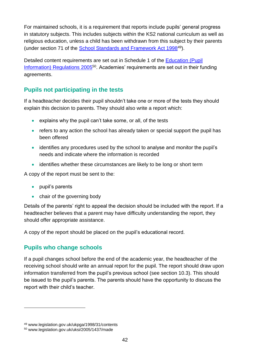For maintained schools, it is a requirement that reports include pupils' general progress in statutory subjects. This includes subjects within the KS2 national curriculum as well as religious education, unless a child has been withdrawn from this subject by their parents (under section 71 of the [School Standards and Framework Act 1998](http://www.legislation.gov.uk/ukpga/1998/31/contents)<sup>49</sup>).

Detailed content requirements are set out in Schedule 1 of the [Education \(Pupil](http://www.legislation.gov.uk/uksi/2005/1437/made)  [Information\) Regulations 2005](http://www.legislation.gov.uk/uksi/2005/1437/made)<sup>50</sup>. Academies' requirements are set out in their funding agreements.

#### **Pupils not participating in the tests**

If a headteacher decides their pupil shouldn't take one or more of the tests they should explain this decision to parents. They should also write a report which:

- explains why the pupil can't take some, or all, of the tests
- refers to any action the school has already taken or special support the pupil has been offered
- identifies any procedures used by the school to analyse and monitor the pupil's needs and indicate where the information is recorded
- identifies whether these circumstances are likely to be long or short term

A copy of the report must be sent to the:

- pupil's parents
- chair of the governing body

Details of the parents' right to appeal the decision should be included with the report. If a headteacher believes that a parent may have difficulty understanding the report, they should offer appropriate assistance.

A copy of the report should be placed on the pupil's educational record.

#### **Pupils who change schools**

If a pupil changes school before the end of the academic year, the headteacher of the receiving school should write an annual report for the pupil. The report should draw upon information transferred from the pupil's previous school (see section 10.3). This should be issued to the pupil's parents. The parents should have the opportunity to discuss the report with their child's teacher.

<u>.</u>

<sup>49</sup> www.legislation.gov.uk/ukpga/1998/31/contents

<sup>50</sup> www.legislation.gov.uk/uksi/2005/1437/made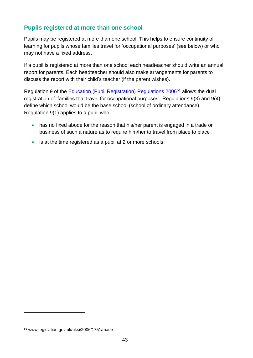#### **Pupils registered at more than one school**

Pupils may be registered at more than one school. This helps to ensure continuity of learning for pupils whose families travel for 'occupational purposes' (see below) or who may not have a fixed address.

If a pupil is registered at more than one school each headteacher should write an annual report for parents. Each headteacher should also make arrangements for parents to discuss the report with their child's teacher (if the parent wishes).

Regulation 9 of the [Education \(Pupil Registration\) Regulations 2006](http://www.legislation.gov.uk/uksi/2006/1751/made)<sup>51</sup> allows the dual registration of 'families that travel for occupational purposes'. Regulations 9(3) and 9(4) define which school would be the base school (school of ordinary attendance). Regulation 9(1) applies to a pupil who:

- has no fixed abode for the reason that his/her parent is engaged in a trade or business of such a nature as to require him/her to travel from place to place
- is at the time registered as a pupil at 2 or more schools

<sup>51</sup> www.legislation.gov.uk/uksi/2006/1751/made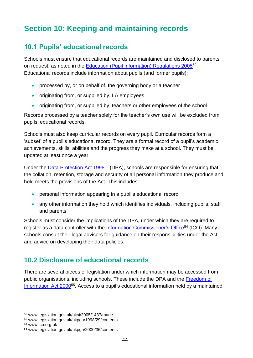# <span id="page-43-0"></span>**Section 10: Keeping and maintaining records**

## <span id="page-43-1"></span>**10.1 Pupils' educational records**

Schools must ensure that educational records are maintained and disclosed to parents on request, as noted in the **Education (Pupil Information) Regulations 2005**<sup>52</sup>. Educational records include information about pupils (and former pupils):

- processed by, or on behalf of, the governing body or a teacher
- originating from, or supplied by, LA employees
- originating from, or supplied by, teachers or other employees of the school

Records processed by a teacher solely for the teacher's own use will be excluded from pupils' educational records.

Schools must also keep curricular records on every pupil. Curricular records form a 'subset' of a pupil's educational record. They are a formal record of a pupil's academic achievements, skills, abilities and the progress they make at a school. They must be updated at least once a year.

Under the [Data Protection Act 1998](http://www.legislation.gov.uk/ukpga/1998/29/contents)<sup>53</sup> (DPA), schools are responsible for ensuring that the collation, retention, storage and security of all personal information they produce and hold meets the provisions of the Act. This includes:

- personal information appearing in a pupil's educational record
- any other information they hold which identifies individuals, including pupils, staff and parents

Schools must consider the implications of the DPA, under which they are required to register as a data controller with the [Information Commissioner's Office](http://ico.org.uk/)<sup>54</sup> (ICO). Many schools consult their legal advisors for guidance on their responsibilities under the Act and advice on developing their data policies.

## <span id="page-43-2"></span>**10.2 Disclosure of educational records**

There are several pieces of legislation under which information may be accessed from public organisations, including schools. These include the DPA and the [Freedom of](http://www.legislation.gov.uk/ukpga/2000/36/contents)  [Information Act 2000](http://www.legislation.gov.uk/ukpga/2000/36/contents)<sup>55</sup>. Access to a pupil's educational information held by a maintained

<sup>52</sup> www.legislation.gov.uk/uksi/2005/1437/made

<sup>53</sup> www.legislation.gov.uk/ukpga/1998/29/contents

<sup>54</sup> www.ico.org.uk

<sup>55</sup> www.legislation.gov.uk/ukpga/2000/36/contents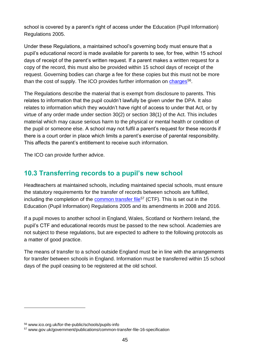school is covered by a parent's right of access under the Education (Pupil Information) Regulations 2005.

Under these Regulations, a maintained school's governing body must ensure that a pupil's educational record is made available for parents to see, for free, within 15 school days of receipt of the parent's written request. If a parent makes a written request for a copy of the record, this must also be provided within 15 school days of receipt of the request. Governing bodies can charge a fee for these copies but this must not be more than the cost of supply. The ICO provides further information on *charges*<sup>56</sup>.

The Regulations describe the material that is exempt from disclosure to parents. This relates to information that the pupil couldn't lawfully be given under the DPA. It also relates to information which they wouldn't have right of access to under that Act, or by virtue of any order made under section 30(2) or section 38(1) of the Act. This includes material which may cause serious harm to the physical or mental health or condition of the pupil or someone else. A school may not fulfil a parent's request for these records if there is a court order in place which limits a parent's exercise of parental responsibility. This affects the parent's entitlement to receive such information.

The ICO can provide further advice.

## <span id="page-44-0"></span>**10.3 Transferring records to a pupil's new school**

Headteachers at maintained schools, including maintained special schools, must ensure the statutory requirements for the transfer of records between schools are fulfilled, including the completion of the [common transfer file](https://www.gov.uk/government/publications/common-transfer-file-16-specification)<sup>57</sup> (CTF). This is set out in the Education (Pupil Information) Regulations 2005 and its amendments in 2008 and 2016.

If a pupil moves to another school in England, Wales, Scotland or Northern Ireland, the pupil's CTF and educational records must be passed to the new school. Academies are not subject to these regulations, but are expected to adhere to the following protocols as a matter of good practice.

The means of transfer to a school outside England must be in line with the arrangements for transfer between schools in England. Information must be transferred within 15 school days of the pupil ceasing to be registered at the old school.

<u>.</u>

<sup>56</sup> www.ico.org.uk/for-the-public/schools/pupils-info

<sup>57</sup> www.gov.uk/government/publications/common-transfer-file-16-specification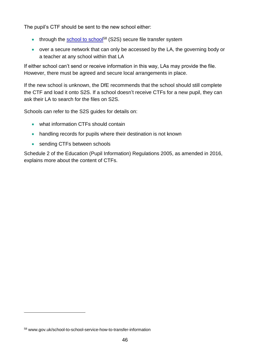The pupil's CTF should be sent to the new school either:

- through the [school to school](https://www.gov.uk/school-to-school-service-how-to-transfer-information)<sup>58</sup> (S2S) secure file transfer system
- over a secure network that can only be accessed by the LA, the governing body or a teacher at any school within that LA

If either school can't send or receive information in this way, LAs may provide the file. However, there must be agreed and secure local arrangements in place.

If the new school is unknown, the DfE recommends that the school should still complete the CTF and load it onto S2S. If a school doesn't receive CTFs for a new pupil, they can ask their LA to search for the files on S2S.

Schools can refer to the S2S quides for details on:

- what information CTFs should contain
- handling records for pupils where their destination is not known
- sending CTFs between schools

Schedule 2 of the Education (Pupil Information) Regulations 2005, as amended in 2016, explains more about the content of CTFs.

<sup>58</sup> www.gov.uk/school-to-school-service-how-to-transfer-information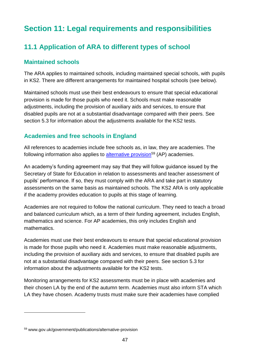# <span id="page-46-0"></span>**Section 11: Legal requirements and responsibilities**

## <span id="page-46-1"></span>**11.1 Application of ARA to different types of school**

#### **Maintained schools**

The ARA applies to maintained schools, including maintained special schools, with pupils in KS2. There are different arrangements for maintained hospital schools (see below).

Maintained schools must use their best endeavours to ensure that special educational provision is made for those pupils who need it. Schools must make reasonable adjustments, including the provision of auxiliary aids and services, to ensure that disabled pupils are not at a substantial disadvantage compared with their peers. See section 5.3 for information about the adjustments available for the KS2 tests.

#### **Academies and free schools in England**

All references to academies include free schools as, in law, they are academies. The following information also applies to [alternative provision](https://www.gov.uk/government/publications/alternative-provision)<sup>59</sup> (AP) academies.

An academy's funding agreement may say that they will follow guidance issued by the Secretary of State for Education in relation to assessments and teacher assessment of pupils' performance. If so, they must comply with the ARA and take part in statutory assessments on the same basis as maintained schools. The KS2 ARA is only applicable if the academy provides education to pupils at this stage of learning.

Academies are not required to follow the national curriculum. They need to teach a broad and balanced curriculum which, as a term of their funding agreement, includes English, mathematics and science. For AP academies, this only includes English and mathematics.

Academies must use their best endeavours to ensure that special educational provision is made for those pupils who need it. Academies must make reasonable adjustments, including the provision of auxiliary aids and services, to ensure that disabled pupils are not at a substantial disadvantage compared with their peers. See section 5.3 for information about the adjustments available for the KS2 tests.

Monitoring arrangements for KS2 assessments must be in place with academies and their chosen LA by the end of the autumn term. Academies must also inform STA which LA they have chosen. Academy trusts must make sure their academies have complied

<sup>59</sup> www.gov.uk/government/publications/alternative-provision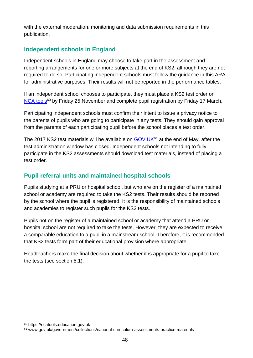with the external moderation, monitoring and data submission requirements in this publication.

#### **Independent schools in England**

Independent schools in England may choose to take part in the assessment and reporting arrangements for one or more subjects at the end of KS2, although they are not required to do so. Participating independent schools must follow the guidance in this ARA for administrative purposes. Their results will not be reported in the performance tables.

If an independent school chooses to participate, they must place a KS2 test order on [NCA tools](https://ncatools.education.gov.uk/)<sup>60</sup> by Friday 25 November and complete pupil registration by Friday 17 March.

Participating independent schools must confirm their intent to issue a privacy notice to the parents of pupils who are going to participate in any tests. They should gain approval from the parents of each participating pupil before the school places a test order.

The 2017 KS2 test materials will be available on GOV. UK<sup>61</sup> at the end of May, after the test administration window has closed. Independent schools not intending to fully participate in the KS2 assessments should download test materials, instead of placing a test order.

#### **Pupil referral units and maintained hospital schools**

Pupils studying at a PRU or hospital school, but who are on the register of a maintained school or academy are required to take the KS2 tests. Their results should be reported by the school where the pupil is registered. It is the responsibility of maintained schools and academies to register such pupils for the KS2 tests.

Pupils not on the register of a maintained school or academy that attend a PRU or hospital school are not required to take the tests. However, they are expected to receive a comparable education to a pupil in a mainstream school. Therefore, it is recommended that KS2 tests form part of their educational provision where appropriate.

Headteachers make the final decision about whether it is appropriate for a pupil to take the tests (see section 5.1).

<u>.</u>

<sup>60</sup> https://ncatools.education.gov.uk

<sup>61</sup> www.gov.uk/government/collections/national-curriculum-assessments-practice-materials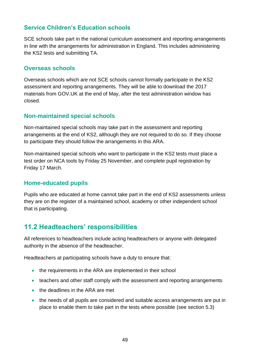#### **Service Children's Education schools**

SCE schools take part in the national curriculum assessment and reporting arrangements in line with the arrangements for administration in England. This includes administering the KS2 tests and submitting TA.

#### **Overseas schools**

Overseas schools which are not SCE schools cannot formally participate in the KS2 assessment and reporting arrangements. They will be able to download the 2017 materials from GOV.UK at the end of May, after the test administration window has closed.

#### **Non-maintained special schools**

Non-maintained special schools may take part in the assessment and reporting arrangements at the end of KS2, although they are not required to do so. If they choose to participate they should follow the arrangements in this ARA.

Non-maintained special schools who want to participate in the KS2 tests must place a test order on NCA tools by Friday 25 November, and complete pupil registration by Friday 17 March.

#### **Home-educated pupils**

Pupils who are educated at home cannot take part in the end of KS2 assessments unless they are on the register of a maintained school, academy or other independent school that is participating.

## <span id="page-48-0"></span>**11.2 Headteachers' responsibilities**

All references to headteachers include acting headteachers or anyone with delegated authority in the absence of the headteacher.

Headteachers at participating schools have a duty to ensure that:

- the requirements in the ARA are implemented in their school
- teachers and other staff comply with the assessment and reporting arrangements
- the deadlines in the ARA are met
- the needs of all pupils are considered and suitable access arrangements are put in place to enable them to take part in the tests where possible (see section 5.3)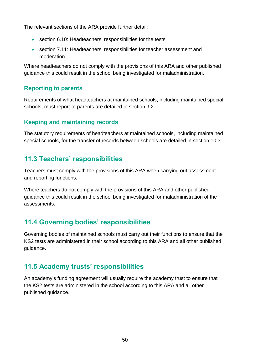The relevant sections of the ARA provide further detail:

- section 6.10: Headteachers' responsibilities for the tests
- section 7.11: Headteachers' responsibilities for teacher assessment and moderation

Where headteachers do not comply with the provisions of this ARA and other published guidance this could result in the school being investigated for maladministration.

#### **Reporting to parents**

Requirements of what headteachers at maintained schools, including maintained special schools, must report to parents are detailed in section 9.2.

#### **Keeping and maintaining records**

The statutory requirements of headteachers at maintained schools, including maintained special schools, for the transfer of records between schools are detailed in section 10.3.

## <span id="page-49-0"></span>**11.3 Teachers' responsibilities**

Teachers must comply with the provisions of this ARA when carrying out assessment and reporting functions.

Where teachers do not comply with the provisions of this ARA and other published guidance this could result in the school being investigated for maladministration of the assessments.

## <span id="page-49-1"></span>**11.4 Governing bodies' responsibilities**

Governing bodies of maintained schools must carry out their functions to ensure that the KS2 tests are administered in their school according to this ARA and all other published guidance.

## <span id="page-49-2"></span>**11.5 Academy trusts' responsibilities**

An academy's funding agreement will usually require the academy trust to ensure that the KS2 tests are administered in the school according to this ARA and all other published guidance.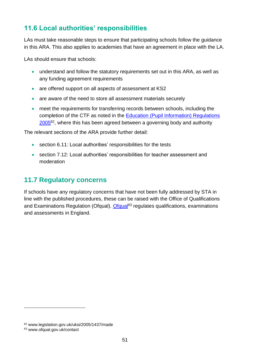## <span id="page-50-0"></span>**11.6 Local authorities' responsibilities**

LAs must take reasonable steps to ensure that participating schools follow the guidance in this ARA. This also applies to academies that have an agreement in place with the LA.

LAs should ensure that schools:

- understand and follow the statutory requirements set out in this ARA, as well as any funding agreement requirements
- are offered support on all aspects of assessment at KS2
- are aware of the need to store all assessment materials securely
- meet the requirements for transferring records between schools, including the completion of the CTF as noted in the [Education \(Pupil Information\) Regulations](http://www.legislation.gov.uk/uksi/2005/1437/made)  [2005](http://www.legislation.gov.uk/uksi/2005/1437/made)<sup>62</sup>, where this has been agreed between a governing body and authority

The relevant sections of the ARA provide further detail:

- section 6.11: Local authorities' responsibilities for the tests
- section 7.12: Local authorities' responsibilities for teacher assessment and moderation

## <span id="page-50-1"></span>**11.7 Regulatory concerns**

If schools have any regulatory concerns that have not been fully addressed by STA in line with the published procedures, these can be raised with the Office of Qualifications and Examinations Regulation (Ofqual). [Ofqual](http://ofqual.gov.uk/contact)<sup>63</sup> regulates qualifications, examinations and assessments in England.

<u>.</u>

<sup>62</sup> www.legislation.gov.uk/uksi/2005/1437/made

<sup>63</sup> www.ofqual.gov.uk/contact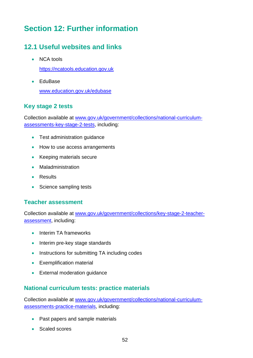# <span id="page-51-0"></span>**Section 12: Further information**

## <span id="page-51-1"></span>**12.1 Useful websites and links**

• NCA tools

[https://ncatools.education.gov.uk](https://ncatools.education.gov.uk/)

• EduBase [www.education.gov.uk/edubase](https://www.education.gov.uk/edubase)

#### **Key stage 2 tests**

Collection available at [www.gov.uk/government/collections/national-curriculum](http://www.gov.uk/government/collections/national-curriculum-assessments-key-stage-2-tests)[assessments-key-stage-2-tests,](http://www.gov.uk/government/collections/national-curriculum-assessments-key-stage-2-tests) including:

- Test administration quidance
- How to use access arrangements
- Keeping materials secure
- Maladministration
- **•** Results
- Science sampling tests

#### **Teacher assessment**

Collection available at [www.gov.uk/government/collections/key-stage-2-teacher](http://www.gov.uk/government/collections/key-stage-2-teacher-assessment)[assessment,](http://www.gov.uk/government/collections/key-stage-2-teacher-assessment) including:

- Interim TA frameworks
- Interim pre-key stage standards
- Instructions for submitting TA including codes
- **•** Exemplification material
- External moderation quidance

#### **National curriculum tests: practice materials**

Collection available at [www.gov.uk/government/collections/national-curriculum](http://www.gov.uk/government/collections/national-curriculum-assessments-practice-materials)[assessments-practice-materials,](http://www.gov.uk/government/collections/national-curriculum-assessments-practice-materials) including:

- Past papers and sample materials
- Scaled scores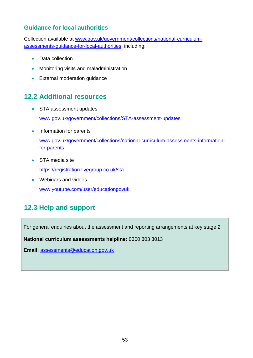#### **Guidance for local authorities**

Collection available at [www.gov.uk/government/collections/national-curriculum](http://www.gov.uk/government/collections/national-curriculum-assessments-guidance-for-local-authorities)[assessments-guidance-for-local-authorities,](http://www.gov.uk/government/collections/national-curriculum-assessments-guidance-for-local-authorities) including:

- Data collection
- **•** Monitoring visits and maladministration
- External moderation quidance

## <span id="page-52-0"></span>**12.2 Additional resources**

- STA assessment updates [www.gov.uk/government/collections/STA-assessment-updates](http://www.gov.uk/government/collections/STA-assessment-updates)
- Information for parents [www.gov.uk/government/collections/national-curriculum-assessments-information](http://www.gov.uk/government/collections/national-curriculum-assessments-information-for-parents)[for-parents](http://www.gov.uk/government/collections/national-curriculum-assessments-information-for-parents)
- STA media site

<https://registration.livegroup.co.uk/sta>

• Webinars and videos [www.youtube.com/user/educationgovuk](http://www.youtube.com/user/educationgovuk)

# <span id="page-52-1"></span>**12.3 Help and support**

For general enquiries about the assessment and reporting arrangements at key stage 2

**National curriculum assessments helpline:** 0300 303 3013

**Email:** [assessments@education.gov.uk](mailto:assessments@education.gov.uk)